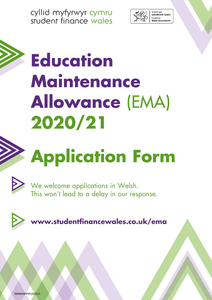cyllid myfyrwyr cymru student finance wales



# **Education Maintenance Allowance** (EMA) **2020/21**

# **Application Form**



We welcome applications in Welsh. This won't lead to a delay in our response.



**<www.studentfinancewales.co.uk/ema>**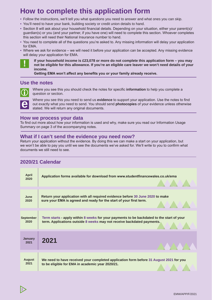### **How to complete this application form**

- Follow the instructions, we'll tell you what questions you need to answer and what ones you can skip.
- You'll need to have your bank, building society or credit union details to hand.
- Section 8 will ask about your household financial details. Depending on your situation, either your parent(s)/ guardian(s) or you (and your partner, if you have one) will need to complete this section. Whoever completes this section will need their National Insurance number to hand.
- You need to complete all of the questions you're asked to. Any missing information will delay your application for EMA.
- Where we ask for evidence we will need it before your application can be accepted. Any missing evidence will delay your application for EMA.



**If your household income is £23,078 or more do not complete this application form – you may not be eligible for this allowance. If you're an eligible care leaver we won't need details of your income.**

**Getting EMA won't affect any benefits you or your family already receive.**

### **Use the notes**



i Where you see this you should check the notes for specific **information** to help you complete a question or section.



2

Where you see this you need to send us **evidence** to support your application. Use the notes to find out exactly what you need to send. You should send **photocopies** of your evidence unless otherwise stated. We will return any original documents.

### **How we process your data**

To find out more about how your information is used and why, make sure you read our Information Usage Summary on page 3 of the accompanying notes.

### **What if I can't send the evidence you need now?**

Return your application without the evidence. By doing this we can make a start on your application, but we won't be able to pay you until we see the documents we've asked for. We'll write to you to confirm what documents we still need to see.

### **2020/21 Calendar**

| <b>April</b><br>2020   | Application forms available for download from www.studentfinancewales.co.uk/ema           |
|------------------------|-------------------------------------------------------------------------------------------|
| June                   | Return your application with all required evidence before 30 June 2020 to make            |
| 2020                   | sure your EMA is agreed and ready for the start of your first term.                       |
| <b>September</b>       | Term starts - apply within 8 weeks for your payments to be backdated to the start of your |
| 2020                   | term. Applications outside 8 weeks may not receive backdated payments.                    |
| <b>January</b><br>2021 | 2021                                                                                      |
| <b>August</b>          | We need to have received your completed application form before 31 August 2021 for you    |
| 2021                   | to be eligible for EMA in academic year 2020/21.                                          |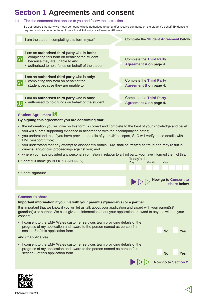### **Section 1 Agreements and consent**

### **1.1** Tick the statement that applies to you and follow the instruction.

By authorised third party we mean someone who is authorised to act and/or receive payments on the student's behalf. Evidence is required such as documentation from a Local Authority or a Power of Attorney.

| I am the student completing this form myself.                                                                                                                                                                                                                                                                                                                                                                                                                                                                                                                                                           | Complete the Student Agreement below.                            |  |  |
|---------------------------------------------------------------------------------------------------------------------------------------------------------------------------------------------------------------------------------------------------------------------------------------------------------------------------------------------------------------------------------------------------------------------------------------------------------------------------------------------------------------------------------------------------------------------------------------------------------|------------------------------------------------------------------|--|--|
| I am an authorised third party who is both:<br>completing this form on behalf of the student<br>$   \  0$<br>because they are unable to and<br>• authorised to hold funds on behalf of the student.                                                                                                                                                                                                                                                                                                                                                                                                     | <b>Complete the Third Party</b><br><b>Agreement A on page 4.</b> |  |  |
| I am an authorised third party who is only:<br>• completing this form on behalf of the<br>$  0 \rangle$<br>student because they are unable to.                                                                                                                                                                                                                                                                                                                                                                                                                                                          | <b>Complete the Third Party</b><br><b>Agreement B on page 4.</b> |  |  |
| I am an authorised third party who is only:<br>• authorised to hold funds on behalf of the student.<br>$   \  0$                                                                                                                                                                                                                                                                                                                                                                                                                                                                                        | <b>Complete the Third Party</b><br><b>Agreement C on page 4.</b> |  |  |
| <b>Student Agreement 10</b><br>By signing this agreement you are confirming that:<br>the information you will give on this form is correct and complete to the best of your knowledge and belief;<br>٠<br>you will submit supporting evidence in accordance with the accompanying notes;<br>you understand that if you have provided details of your UK passport, SLC will verify those details with<br>HM Passport Office;<br>you understand that any attempt to dishonestly obtain EMA shall be treated as fraud and may result in<br>$\bullet$<br>criminal and/or civil proceedings against you; and |                                                                  |  |  |
| where you have provided any personal information in relation to a third party, you have informed them of this.<br>Todov's dota                                                                                                                                                                                                                                                                                                                                                                                                                                                                          |                                                                  |  |  |

- - Student full name (in BLOCK CAPITALS) Today's date Month Year Student signature **Now go to Consent to share below**

### **Consent to share**

### **Important information if you live with your parent(s)/guardian(s) or a partner:**

It is important that we know if you will let us talk about your application and award with your parent(s)/ guardian(s) or partner. We can't give out information about your application or award to anyone without your consent.

• I consent to the EMA Wales customer services team providing details of the progress of my application and award to the person named as person 1 in section 8 of this application form. **No Yes**

### **and (if applicable)**

• I consent to the EMA Wales customer services team providing details of the progress of my application and award to the person named as person 2 in section 8 of this application form. **No Yes**



**Now go to Section 2**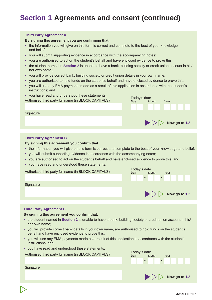### **Section 1 Agreements and consent (continued)**

#### **Third Party Agreement A**

#### **By signing this agreement you are confirming that:**

- the information you will give on this form is correct and complete to the best of your knowledge and belief;
- you will submit supporting evidence in accordance with the accompanying notes;
- you are authorised to act on the student's behalf and have enclosed evidence to prove this;
- the student named in **Section 2** is unable to have a bank, building society or credit union account in his/ her own name;
- you will provide correct bank, building society or credit union details in your own name;
- you are authorised to hold funds on the student's behalf and have enclosed evidence to prove this;
- you will use any EMA payments made as a result of this application in accordance with the student's instructions; and

Month Year

**Now go to 1.2**

• you have read and understood these statements.

you have read and andersition incide statements.<br>Authorised third party full name (in BLOCK CAPITALS) Today's date

**Signature** 

### **Third Party Agreement B**

#### **By signing this agreement you confirm that:**

- the information you will give on this form is correct and complete to the best of your knowledge and belief;
- you will submit supporting evidence in accordance with the accompanying notes;
- you are authorised to act on the student's behalf and have enclosed evidence to prove this; and
- you have read and understood these statements.

Authorised third party full name (in BLOCK CAPITALS) Today's date Month Year **Signature**  $\blacktriangleright$   $\blacktriangleright$   $\blacktriangleright$  Now go to 1.2

#### **Third Party Agreement C**

4

#### **By signing this agreement you confirm that:**

- the student named in **Section 2** is unable to have a bank, building society or credit union account in his/ her own name;
- you will provide correct bank details in your own name, are authorised to hold funds on the student's behalf and have enclosed evidence to prove this;
- you will use any EMA payments made as a result of this application in accordance with the student's instructions; and
- you have read and understood these statements.

| Authorised third party full name (in BLOCK CAPITALS) | Today's date<br>Month<br>Year<br>Day<br>$\sim$  |
|------------------------------------------------------|-------------------------------------------------|
| Signature                                            |                                                 |
|                                                      | $\triangleright$ $\triangleright$ Now go to 1.2 |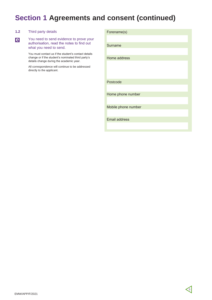### **Section 1 Agreements and consent (continued)**

### **1.2** Third party details

You need to send evidence to prove your authorisation, read the notes to find out what you need to send. **e**

> You must contact us if the student's contact details change or if the student's nominated third party's details change during the academic year.

All correspondence will continue to be addressed directly to the applicant.

| Forename(s)          |  |
|----------------------|--|
|                      |  |
| Surname              |  |
|                      |  |
| Home address         |  |
|                      |  |
|                      |  |
|                      |  |
| Postcode             |  |
|                      |  |
| Home phone number    |  |
|                      |  |
| Mobile phone number  |  |
|                      |  |
| <b>Email address</b> |  |
|                      |  |
|                      |  |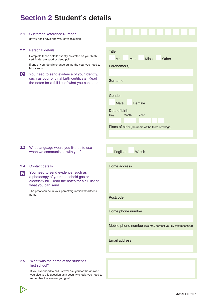### **Section 2 Student's details**

### **2.1** Customer Reference Number

(if you don't have one yet, leave this blank)

#### **2.2** Personal details

Complete these details exactly as stated on your birth certificate, passport or deed poll.

If any of your details change during the year you need let us know.

You need to send evidence of your identity, **e** such as your original birth certificate. Read the notes for a full list of what you can sen

| ì       | <b>Title</b>                                             |
|---------|----------------------------------------------------------|
|         | <b>Mrs</b><br><b>Miss</b><br>Other<br>Mr                 |
| d to    | Forename(s)                                              |
| Ι,      |                                                          |
| ł<br>d. | Surname                                                  |
|         | Gender                                                   |
|         | Female<br>Male                                           |
|         | Date of birth                                            |
|         | Day<br>Month<br>Year                                     |
|         |                                                          |
|         | Place of birth (the name of the town or village)         |
|         |                                                          |
|         |                                                          |
|         | English<br>Welsh                                         |
|         |                                                          |
|         | Home address                                             |
|         |                                                          |
|         |                                                          |
| рf      |                                                          |
| 3       |                                                          |
|         | Postcode                                                 |
|         |                                                          |
|         | Home phone number                                        |
|         |                                                          |
|         | Mobile phone number (we may contact you by text message) |
|         |                                                          |
|         | <b>Email address</b>                                     |
|         |                                                          |
|         |                                                          |

#### **2.3** What language would you like us to use when we communicate with you?

#### **2.4** Contact details

**e**

You need to send evidence, such as a photocopy of your household gas or electricity bill. Read the notes for a full list what you can send.

The proof can be in your parent's/guardian's/partner's name.

#### **2.5** What was the name of the student's first school?

6

If you ever need to call us we'll ask you for the answer you give to this question as a security check, you need to remember the answer you give!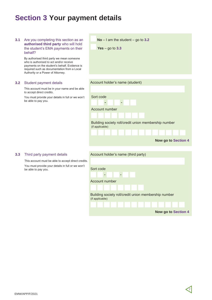### **Section 3 Your payment details**

**No** – I am the student – go to **3.2 3.1** Are you completing this section as an **authorised third party** who will hold the student's EMA payments on their **Yes** – go to **3.3** behalf? By authorised third party we mean someone who is authorised to act and/or receive payments on the student's behalf. Evidence is required such as documentation from a Local Authority or a Power of Attorney. Account holder's name (student) **3.2** Student payment details This account must be in your name and be able to accept direct credits. You must provide your details in full or we won't Sort code be able to pay you.  $\overline{\phantom{a}}$  $\overline{a}$ Account number Building society roll/credit union membership number (if applicable) **Now go to Section 4 3.3** Third party payment details Account holder's name (third party) This account must be able to accept direct credits. You must provide your details in full or we won't Sort code be able to pay you. Account number

| Sort code                                                               |  |  |  |
|-------------------------------------------------------------------------|--|--|--|
| $\blacksquare$<br>-                                                     |  |  |  |
| Account number                                                          |  |  |  |
|                                                                         |  |  |  |
| Building society roll/credit union membership number<br>(if applicable) |  |  |  |
|                                                                         |  |  |  |
| <b>Now go to Section 4</b>                                              |  |  |  |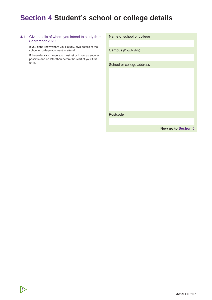### **Section 4 Student's school or college details**

#### **4.1** Give details of where you intend to study from September 2020.

If you don't know where you'll study, give details of the school or college you want to attend.

If these details change you must let us know as soon as possible and no later than before the start of your first term.

8

| Name of school or college |
|---------------------------|
|                           |
| Campus (if applicable)    |
|                           |
| School or college address |
|                           |
|                           |
|                           |
|                           |
|                           |
|                           |
| Postcode                  |
|                           |
|                           |

**Now go to Section 5**

EMW/APP/F/2021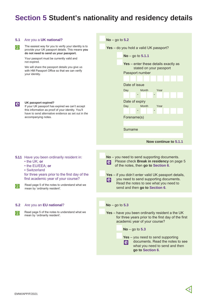### **Section 5 Student's nationality and residency details**

| 5.1        | Are you a UK national?                                                                                                                                                                   | $No - go to 5.2$                                                                                                                                                                                                                                                                                     |
|------------|------------------------------------------------------------------------------------------------------------------------------------------------------------------------------------------|------------------------------------------------------------------------------------------------------------------------------------------------------------------------------------------------------------------------------------------------------------------------------------------------------|
| $\bigcirc$ | The easiest way for you to verify your identity is to<br>provide your UK passport details. This means you<br>do not need to send us your passport.                                       | Yes - do you hold a valid UK passport?                                                                                                                                                                                                                                                               |
|            | Your passport must be currently valid and<br>not expired.                                                                                                                                | $No - go to 5.1.1$<br>Yes - enter these details exactly as                                                                                                                                                                                                                                           |
|            | We will share the passport details you give us<br>with HM Passport Office so that we can verify<br>your identity.                                                                        | stated on your passport<br>Passport number                                                                                                                                                                                                                                                           |
|            |                                                                                                                                                                                          | Date of issue<br>Day<br>Month<br>Year                                                                                                                                                                                                                                                                |
| e          | UK passport expired?<br>If your UK passport has expired we can't accept<br>this information as proof of your identity. You'll                                                            | Date of expiry<br>Month<br>Year<br>Day                                                                                                                                                                                                                                                               |
|            | have to send alternative evidence as set out in the<br>accompanying notes.                                                                                                               | Forename(s)                                                                                                                                                                                                                                                                                          |
|            |                                                                                                                                                                                          | Surname                                                                                                                                                                                                                                                                                              |
|            |                                                                                                                                                                                          |                                                                                                                                                                                                                                                                                                      |
|            |                                                                                                                                                                                          | Now continue to 5.1.1                                                                                                                                                                                                                                                                                |
|            | 5.1.1 Have you been ordinarily resident in:<br>• the UK; or<br>• the EU/EEA; or<br>• Switzerland<br>for three years prior to the first day of the<br>first academic year of your course? | No - you need to send supporting documents.<br>Please check Break in residency on page 5<br> e <br>of the notes, then go to Section 6.<br>Yes - if you didn't enter valid UK passport details,<br>you need to send supporting documents.<br> e                                                       |
| $\bigcirc$ | Read page 5 of the notes to understand what we<br>mean by 'ordinarily resident'.                                                                                                         | Read the notes to see what you need to<br>send and then go to Section 6.                                                                                                                                                                                                                             |
|            |                                                                                                                                                                                          |                                                                                                                                                                                                                                                                                                      |
| 5.2        | Are you an EU national?                                                                                                                                                                  | $No - go to 5.3$                                                                                                                                                                                                                                                                                     |
| $\bigcirc$ | Read page 5 of the notes to understand what we<br>mean by 'ordinarily resident'.                                                                                                         | Yes - have you been ordinarily resident a the UK<br>for three years prior to the first day of the first<br>academic year of your course?<br>$No - go to 5.3$<br>$Yes - you need to send supporting$<br>documents. Read the notes to see<br>lel<br>what you need to send and then<br>go to Section 6. |
|            |                                                                                                                                                                                          |                                                                                                                                                                                                                                                                                                      |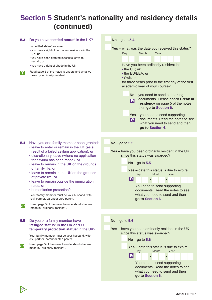### **Section 5 Student's nationality and residency details (continued)**

#### **5.3** Do you have **'settled status'** in the UK?

By 'settled status' we mean:

- you have a right of permanent residence in the UK; **or**
- you have been granted indefinite leave to remain; **or**
- you have a right of abode in the UK
- $\circled{f}$  Read page 5 of the notes to understand what we mean by 'ordinarily resident'.

**5.4** Have you or a family member been granted:

- leave to enter or remain in the UK (as a result of a failed asylum application); **or**
- discretionary leave (where no application for asylum has been made); **or**
- leave to remain in the UK on the grounds of family life; **or**
- leave to remain in the UK on the grounds of private life; **or**
- leave to remain outside the immigration rules; **or**
- humanitarian protection?

Your family member must be your husband, wife, civil partner, parent or step-parent.

### **5.5** Do you or a family member have **'refugee status' in the UK or 'EU temporary protection status'** in the UK?

Your family member must be your husband, wife, civil partner, parent or step-parent.

**i** Read page 5 of the notes to understand what we mean by 'ordinarily resident'.

10



### **No** – go to **5.5**

**Yes** – have you been ordinarily resident in the UK since this status was awarded?

**No** – go to **5.5**



**go to Section 6**.



**Yes** – have you been ordinarily resident in the UK since this status was awarded?

**No** – go to **5.6**

**Yes** – date this status is due to expire<br>Day Month Year Day Month lel You need to send supporting documents. Read the notes to see what you need to send and then **go to Section 6**.

Read page 5 of the notes to understand what we mean by 'ordinarily resident'.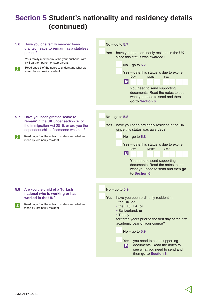### **Section 5 Student's nationality and residency details (continued)**

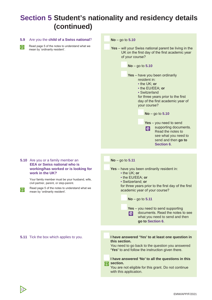### **Section 5 Student's nationality and residency details (continued)**

### **5.9** Are you the **child of a Swiss national**?

Read page 5 of the notes to understand what we mean by 'ordinarily resident'.



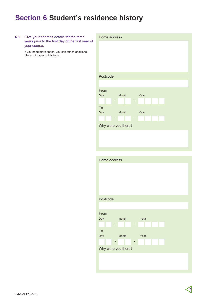### **Section 6 Student's residence history**

| 6.1 | Give your address details for the three<br>years prior to the first day of the first year of<br>your course. | Home address                                                                   |
|-----|--------------------------------------------------------------------------------------------------------------|--------------------------------------------------------------------------------|
|     | If you need more space, you can attach additional<br>pieces of paper to this form.                           |                                                                                |
|     |                                                                                                              | Postcode                                                                       |
|     |                                                                                                              | From<br>Day<br>Month<br>Year<br>٠<br>-<br>To<br>Day<br>Month<br>Year<br>٠<br>٠ |
|     |                                                                                                              | Why were you there?                                                            |
|     |                                                                                                              | Home address                                                                   |
|     |                                                                                                              | Postcode                                                                       |
|     |                                                                                                              | From<br>Month<br>Year<br>Day<br>${\sf To}$<br>Month<br>Year<br>Day             |
|     |                                                                                                              | Why were you there?                                                            |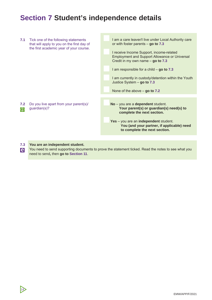### **Section 7 Student's independence details**

| 7.1               | Tick one of the following statements<br>that will apply to you on the first day of<br>the first academic year of your course. | I am a care leaver/I live under Local Authority care<br>or with foster parents $-$ go to 7.3                                            |
|-------------------|-------------------------------------------------------------------------------------------------------------------------------|-----------------------------------------------------------------------------------------------------------------------------------------|
|                   |                                                                                                                               | I receive Income Support, income-related<br><b>Employment and Support Allowance or Universal</b><br>Credit in my own name $-$ go to 7.3 |
|                   |                                                                                                                               | I am responsible for a child $-$ go to 7.3                                                                                              |
|                   |                                                                                                                               | I am currently in custody/detention within the Youth<br>Justice System $-$ go to 7.3                                                    |
|                   |                                                                                                                               | None of the above $-$ go to 7.2                                                                                                         |
|                   |                                                                                                                               |                                                                                                                                         |
| 7.2<br>$\bigcirc$ | Do you live apart from your parent(s)/<br>quardian(s)?                                                                        | No - you are a dependent student.<br>Your parent(s) or guardian(s) need(s) to<br>complete the next section.                             |
|                   |                                                                                                                               | Yes - you are an independent student.<br>You (and your partner, if applicable) need<br>to complete the next section.                    |
|                   |                                                                                                                               |                                                                                                                                         |

### **7.3 You are an independent student.**

14

You need to send supporting documents to prove the statement ticked. Read the notes to see what you **e** You need to send supporting docume need to send, then **go to Section 11**.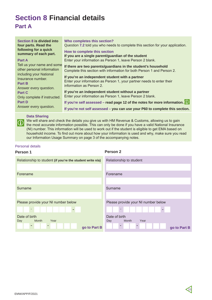### **Section 8 Financial details Part A**

### **Data Sharing**

We will share and check the details you give us with HM Revenue & Customs, allowing us to gain<br>the most accurate information possible. This can only be done if you have a valid National Insurance (NI) number. This information will be used to work out if the student is eligible to get EMA based on household income. To find out more about how your information is used and why, make sure you read our Information Usage Summary on page 3 of the accompanying notes.

### Personal details

### **Person 1**

**Person 2**

| Relationship to student (if you're the student write n/a) | Relationship to student             |
|-----------------------------------------------------------|-------------------------------------|
|                                                           |                                     |
| Forename                                                  | Forename                            |
|                                                           |                                     |
| Surname                                                   | Surname                             |
|                                                           |                                     |
| Please provide your NI number below                       | Please provide your NI number below |
| ÷,<br>$\sim$                                              | $\blacksquare$<br>۰                 |
| Date of birth                                             | Date of birth                       |
| Month<br>Year<br>Day                                      | Year<br>Month<br>Day                |
| $\sim$<br>go to Part B                                    | $\sim$<br>go to Part B              |
|                                                           |                                     |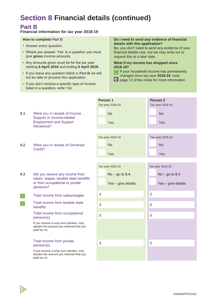### **Part B**

### **Financial information for tax year 2018-19**

#### **How to complete Part B**

- Answer every question.
- Where you answer 'Yes' to a question you must give **gross** income amounts.
- Any amounts given must be for the tax year starting **6 April 2018** and ending **5 April 2019.**
- If you leave any question blank in **Part B** we will not be able to process this application.
- If you don't receive a specific type of income listed in a question, write 'n/a'.

#### **Do I need to send any evidence of financial details with this application?**

No, you don't need to send any evidence of your financial details now, but we may write out to request this at a later date.

#### **What if my income has dropped since 2018-19?**

- **1** If your household income has permanently changed since tax year **2018-19**, read
- changed since tax year **2018-19**, read<br> **e** page 12 of the notes for more information.

- **8.1** Were you in receipt of Income Support or Income-related Employment and Support Allowance?
	- **8.2** Were you in receipt of Universal Credit?
	- **8.3** Did you receive any income from salary, wages, taxable state benefits or from occupational or private pensions?
	- **in** Total income from salary/wages

16

 $\odot$  Total income from taxable state benefits

#### Total income from occupational pension(s)

If you receive a lump sum pension, only declare the amount you received that you paid tax on.

### Total income from private pension(s)

If you receive a lump sum pension, only declare the amount you received that you paid tax on.

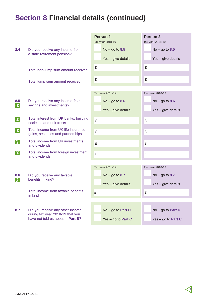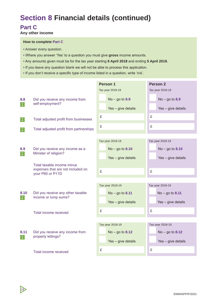### **Part C**

18

**Any other income**

### **How to complete Part C**

- Answer every question.
- Where you answer 'Yes' to a question you must give **gross** income amounts.
- Any amounts given must be for the tax year starting **6 April 2018** and ending **5 April 2019.**
- If you leave any question blank we will not be able to process this application.
- If you don't receive a specific type of income listed in a question, write 'n/a'.

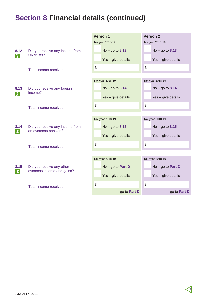|                    |                                                                                  | Person 1            | Person <sub>2</sub> |  |  |
|--------------------|----------------------------------------------------------------------------------|---------------------|---------------------|--|--|
|                    |                                                                                  | Tax year 2018-19    | Tax year 2018-19    |  |  |
| 8.12<br>$\bigcirc$ | Did you receive any income from<br>UK trusts?                                    | $No - go to 8.13$   | $No - go to 8.13$   |  |  |
|                    |                                                                                  | Yes - give details  | Yes - give details  |  |  |
|                    | Total income received                                                            | £                   | £                   |  |  |
|                    |                                                                                  | Tax year 2018-19    | Tax year 2018-19    |  |  |
| 8.13<br>$\bigcirc$ | Did you receive any foreign<br>income?                                           | $No - go to 8.14$   | $No - go to 8.14$   |  |  |
|                    |                                                                                  | Yes - give details  | Yes - give details  |  |  |
|                    | Total income received                                                            | £                   | £                   |  |  |
|                    |                                                                                  |                     |                     |  |  |
| 8.14<br>$\bigcirc$ | Did you receive any income from<br>an overseas pension?<br>Total income received | Tax year 2018-19    | Tax year 2018-19    |  |  |
|                    |                                                                                  | $No - go to 8.15$   | $No - go to 8.15$   |  |  |
|                    |                                                                                  | Yes - give details  | Yes - give details  |  |  |
|                    |                                                                                  | £                   | £                   |  |  |
|                    |                                                                                  |                     |                     |  |  |
|                    |                                                                                  | Tax year 2018-19    | Tax year 2018-19    |  |  |
| 8.15<br>$\bigcirc$ | Did you receive any other<br>overseas income and gains?<br>Total income received | $No - go to Part D$ | No - go to Part D   |  |  |
|                    |                                                                                  | Yes - give details  | Yes - give details  |  |  |
|                    |                                                                                  | £                   | £                   |  |  |
|                    |                                                                                  | go to Part D        | go to Part D        |  |  |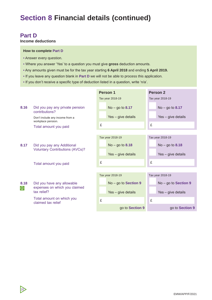### **Part D**

20

### **Income deductions**

#### **How to complete Part D**

- Answer every question.
- Where you answer 'Yes' to a question you must give **gross** deduction amounts.
- Any amounts given must be for the tax year starting **6 April 2018** and ending **5 April 2019.**
- If you leave any question blank in **Part D** we will not be able to process this application.
- If you don't receive a specific type of deduction listed in a question, write 'n/a'.

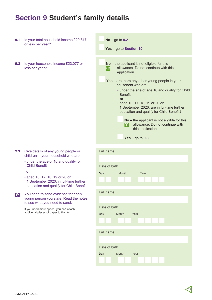### **Section 9 Student's family details**

- **9.1** Is your total household income £20,817 or less per year?
- **9.2** Is your household income £23,077 or less per year?

- **9.3** Give details of any young people or children in your household who are:
	- under the age of 16 and qualify for Child Benefit

**or**

• aged 16, 17, 18, 19 or 20 on 1 September 2020, in full-time further education and qualify for Child Benefit.

You need to send evidence for **each**  young person you state. Read the notes to see what you need to send. **e**

> If you need more space, you can attach additional pieces of paper to this form.



| Full name     |                        |      |      |  |  |  |  |  |
|---------------|------------------------|------|------|--|--|--|--|--|
|               |                        |      |      |  |  |  |  |  |
| Date of birth |                        |      |      |  |  |  |  |  |
| Day           | Month                  |      | Year |  |  |  |  |  |
|               | -                      | -    |      |  |  |  |  |  |
| Full name     |                        |      |      |  |  |  |  |  |
|               |                        |      |      |  |  |  |  |  |
| Date of birth |                        |      |      |  |  |  |  |  |
| Day           | <b>Example 1</b> Month | Year |      |  |  |  |  |  |
|               |                        |      |      |  |  |  |  |  |
| Full name     |                        |      |      |  |  |  |  |  |
|               |                        |      |      |  |  |  |  |  |
| Date of birth |                        |      |      |  |  |  |  |  |
| Day           | Month                  | Year |      |  |  |  |  |  |
|               |                        |      |      |  |  |  |  |  |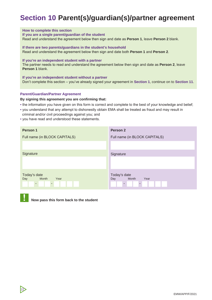### **Section 10 Parent(s)/guardian(s)/partner agreement**

#### **How to complete this section**

**If you are a single parent/guardian of the student**

Read and understand the agreement below then sign and date as **Person 1**, leave **Person 2** blank.

**If there are two parents/guardians in the student's household** Read and understand the agreement below then sign and date both **Person 1** and **Person 2**.

#### **If you're an independent student with a partner**

The partner needs to read and understand the agreement below then sign and date as **Person 2**, leave **Person 1** blank.

**If you're an independent student without a partner** Don't complete this section – you've already signed your agreement in **Section 1**, continue on to **Section 11**.

#### **Parent/Guardian/Partner Agreement**

**By signing this agreement you are confirming that:**

- the information you have given on this form is correct and complete to the best of your knowledge and belief;
- you understand that any attempt to dishonestly obtain EMA shall be treated as fraud and may result in criminal and/or civil proceedings against you; and
- you have read and understood these statements.

| Person 1                                                              | <b>Person 2</b>                      |  |  |  |  |  |
|-----------------------------------------------------------------------|--------------------------------------|--|--|--|--|--|
| Full name (in BLOCK CAPITALS)                                         | Full name (in BLOCK CAPITALS)        |  |  |  |  |  |
|                                                                       |                                      |  |  |  |  |  |
| Signature                                                             | Signature                            |  |  |  |  |  |
| Today's date<br>Month<br>Day<br>Year<br>$\overline{\phantom{a}}$<br>- | Today's date<br>Month<br>Year<br>Day |  |  |  |  |  |



22

**Now pass this form back to the student**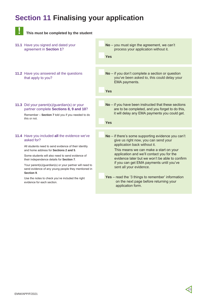### **Section 11 Finalising your application**

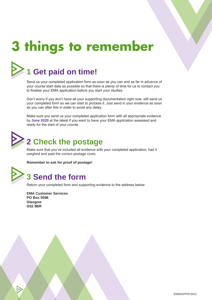## **3 things to remember**



### **1 Get paid on time!**

Send us your completed application form as soon as you can and as far in advance of your course start date as possible so that there is plenty of time for us to contact you to finalise your EMA application before you start your studies.

Don't worry if you don't have all your supporting documentation right now, still send us your completed form so we can start to process it. Just send in your evidence as soon as you can after this in order to avoid any delay.

Make sure you send us your completed application form with all appropriate evidence by **June 2020** at the latest if you want to have your EMA application assessed and ready for the start of your course.



**3**

### **2 Check the postage**

Make sure that you've included all evidence with your completed application, had it weighed and paid the correct postage costs.

**Remember to ask for proof of postage!**

### **3 Send the form**

Return your completed form and supporting evidence to the address below:

**EMA Customer Services PO Box 5596 Glasgow G52 9BR**